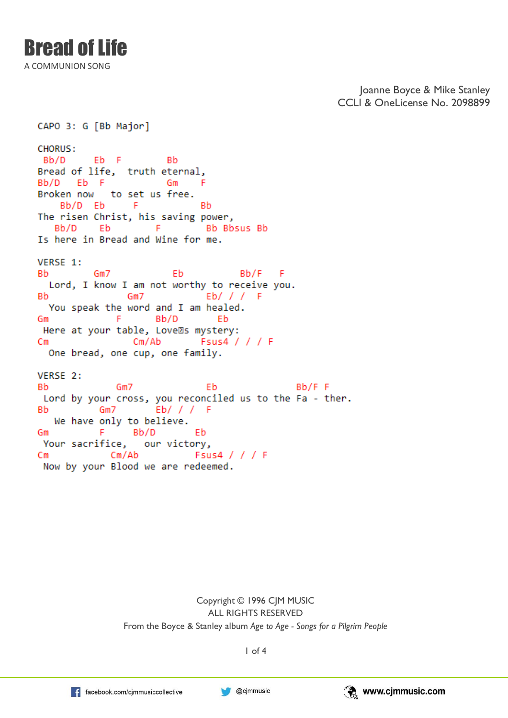A COMMUNION SONG

Joanne Boyce & Mike Stanley CCLI & OneLicense No. 2098899

CAPO 3: G [Bb Major] **CHORUS:** Eb F Bb/D -Bb Bread of life, truth eternal, Bb/D Eb F **Sales Contract Gm** F Broken now to set us free. Bb/D Eb  $-F$ -Rh The risen Christ, his saving power, Bb/D E<sub>b</sub>  $-$ F Bb Bbsus Bb Is here in Bread and Wine for me. VERSE 1: Bb.  $Gm7$ Eb Bb/F F Lord, I know I am not worthy to receive you. Eb/ / /  $Gm7$ **Bb** - F You speak the word and I am healed. **F** 1 Gm Bb/D Eb Here at your table, Love®s mystery: Fsus4 / / / F  $Cm$ Cm/Ab One bread, one cup, one family. VERSE 2: **Bb**  $Gm7$  $Bb/F F$ Eb Lord by your cross, you reconciled us to the Fa - ther. **Bb** We have only to believe. F. Bb/D Eb Gm Your sacrifice, our victory,  $Cm/Ab$ Fsus4 / / / F Cm Now by your Blood we are redeemed.

> Copyright © 1996 CJM MUSIC ALL RIGHTS RESERVED From the Boyce & Stanley album *Age to Age - Songs for a Pilgrim People*



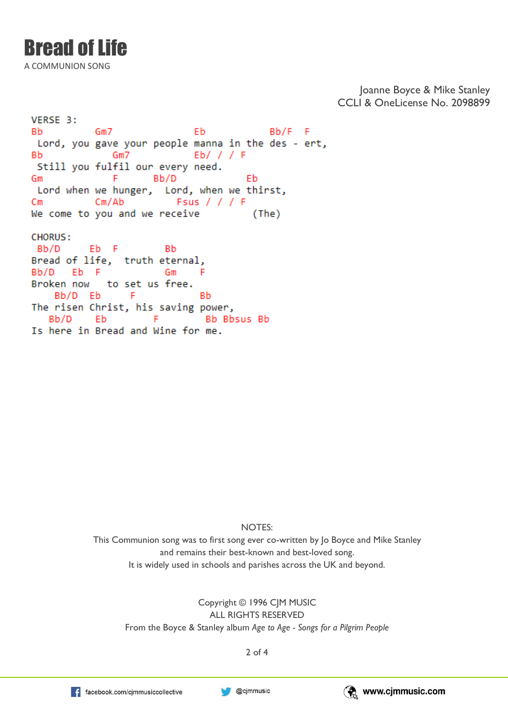## Bread of Life

A COMMUNION SONG

Joanne Boyce & Mike Stanley CCLI & OneLicense No. 2098899

VERSE 3: Eb **Bb** Gm7  $Bb/F$  F Lord, you gave your people manna in the des - ert,  $Gm7$  $Eb/$  / / F **Bb** Still you fulfil our every need. Gm F Bb/D Eb Lord when we hunger, Lord, when we thirst,  $Cm/Ab$ Fsus  $//$  / F Cm We come to you and we receive  $(The)$ **CHORUS:** Bb/D Eb F Bb Bread of life, truth eternal, Bb/D Eb F F Gm Broken now to set us free. Bb/D Eb -F **Bh** The risen Christ, his saving power, Bb/D Eb F Bb Bbsus Bb Is here in Bread and Wine for me.

NOTES:

This Communion song was to first song ever co-written by Jo Boyce and Mike Stanley and remains their best-known and best-loved song. It is widely used in schools and parishes across the UK and beyond.

Copyright © 1996 CJM MUSIC ALL RIGHTS RESERVED From the Boyce & Stanley album *Age to Age - Songs for a Pilgrim People*

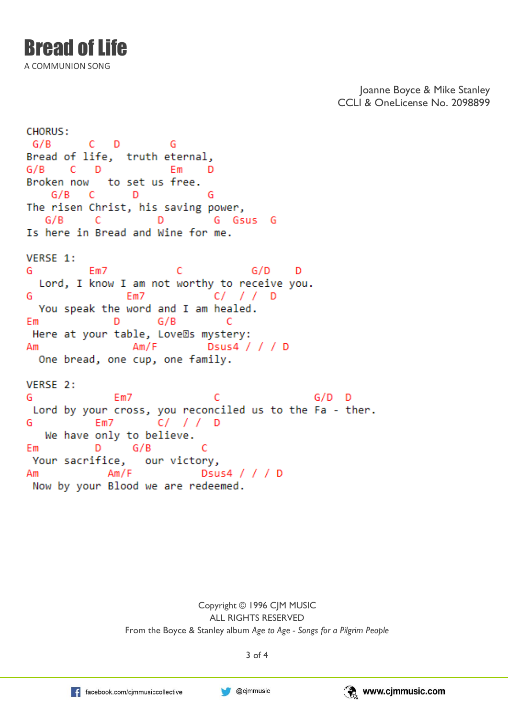A COMMUNION SONG

Joanne Boyce & Mike Stanley CCLI & OneLicense No. 2098899

**CHORUS:**  $C$   $D$ G/B G Bread of life, truth eternal,  $G/B$ **CD** Em D Broken now to set us free.  $G/B$  C - D G The risen Christ, his saving power,  $G/B$ - C D G Gsus G Is here in Bread and Wine for me. VERSE 1: Em7 G/D G C - D Lord, I know I am not worthy to receive you. C/ // D G Em7 You speak the word and I am healed. D G/B Em – c Here at your table, Love®s mystery: Am/F Dsus4 / / / D Аm One bread, one cup, one family. VERSE 2: C  $G/D$  D G Em7 Lord by your cross, you reconciled us to the Fa - ther. G We have only to believe. D G/B C Em Your sacrifice, our victory,  $Am/F$ Dsus4 / / / D Am Now by your Blood we are redeemed.

> Copyright © 1996 CJM MUSIC ALL RIGHTS RESERVED From the Boyce & Stanley album *Age to Age - Songs for a Pilgrim People*